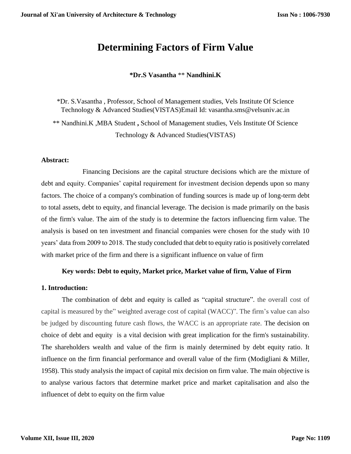# **Determining Factors of Firm Value**

**\*Dr.S Vasantha** \*\* **Nandhini.K** 

\*Dr. S.Vasantha , Professor, School of Management studies, Vels Institute Of Science Technology & Advanced Studies(VISTAS)Email Id: vasantha.sms@velsuniv.ac.in \*\* Nandhini.K ,MBA Student **,** School of Management studies, Vels Institute Of Science Technology & Advanced Studies(VISTAS)

### **Abstract:**

Financing Decisions are the capital structure decisions which are the mixture of debt and equity. Companies' capital requirement for investment decision depends upon so many factors. The choice of a company's combination of funding sources is made up of long-term debt to total assets, debt to equity, and financial leverage. The decision is made primarily on the basis of the firm's value. The aim of the study is to determine the factors influencing firm value. The analysis is based on ten investment and financial companies were chosen for the study with 10 years' data from 2009 to 2018. The study concluded that debt to equity ratio is positively correlated with market price of the firm and there is a significant influence on value of firm

### **Key words: Debt to equity, Market price, Market value of firm, Value of Firm**

### **1. Introduction:**

The combination of debt and equity is called as "capital structure". the overall cost of capital is measured by the" weighted average cost of capital (WACC)". The firm's value can also be judged by discounting future cash flows, the WACC is an appropriate rate. The decision on choice of debt and equity is a vital decision with great implication for the firm's sustainability. The shareholders wealth and value of the firm is mainly determined by debt equity ratio. It influence on the firm financial performance and overall value of the firm (Modigliani & Miller, 1958). This study analysis the impact of capital mix decision on firm value. The main objective is to analyse various factors that determine market price and market capitalisation and also the influencet of debt to equity on the firm value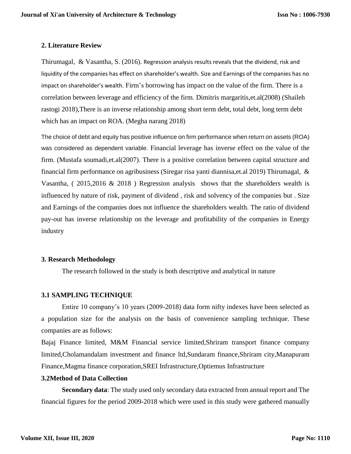### **2. Literature Review**

Thirumagal, & Vasantha, S. (2016). Regression analysis results reveals that the dividend, risk and liquidity of the companies has effect on shareholder's wealth. Size and Earnings of the companies has no impact on shareholder's wealth. Firm's borrowing has impact on the value of the firm. There is a correlation between leverage and efficiency of the firm. Dimitris margaritis,et.al(2008) (Shaileh rastogi 2018),There is an inverse relationship among short term debt, total debt, long term debt which has an impact on ROA. (Megha narang 2018)

The choice of debt and equity has positive influence on firm performance when return on assets (ROA) was considered as dependent variable. Financial leverage has inverse effect on the value of the firm. (Mustafa soumadi,et.al(2007). There is a positive correlation between capital structure and financial firm performance on agribusiness (Siregar risa yanti diannisa,et.al 2019) Thirumagal, & Vasantha, ( 2015,2016 & 2018 ) Regression analysis shows that the shareholders wealth is influenced by nature of risk, payment of dividend , risk and solvency of the companies but . Size and Earnings of the companies does not influence the shareholders wealth. The ratio of dividend pay-out has inverse relationship on the leverage and profitability of the companies in Energy industry

### **3. Research Methodology**

The research followed in the study is both descriptive and analytical in nature

# **3.1 SAMPLING TECHNIQUE**

Entire 10 company's 10 years (2009-2018) data form nifty indexes have been selected as a population size for the analysis on the basis of convenience sampling technique. These companies are as follows:

Bajaj Finance limited, M&M Financial service limited,Shriram transport finance company limited,Cholamandalam investment and finance ltd,Sundaram finance,Shriram city,Manapuram Finance,Magma finance corporation,SREI Infrastructure,Optiemus Infrastructure

## **3.2Method of Data Collection**

**Secondary data**: The study used only secondary data extracted from annual report and The financial figures for the period 2009-2018 which were used in this study were gathered manually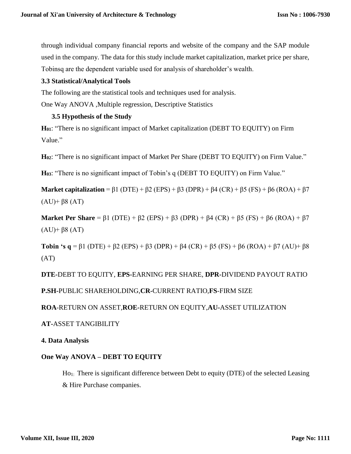through individual company financial reports and website of the company and the SAP module used in the company. The data for this study include market capitalization, market price per share, Tobinsq are the dependent variable used for analysis of shareholder's wealth.

# **3.3 Statistical/Analytical Tools**

The following are the statistical tools and techniques used for analysis.

One Way ANOVA ,Multiple regression, Descriptive Statistics

### **3.5 Hypothesis of the Study**

**H01**: "There is no significant impact of Market capitalization (DEBT TO EQUITY) on Firm Value."

**H02**: "There is no significant impact of Market Per Share (DEBT TO EQUITY) on Firm Value."

**H03**: "There is no significant impact of Tobin's q (DEBT TO EQUITY) on Firm Value."

**Market capitalization** =  $\beta$ 1 (DTE) +  $\beta$ 2 (EPS) +  $\beta$ 3 (DPR) +  $\beta$ 4 (CR) +  $\beta$ 5 (FS) +  $\beta$ 6 (ROA) +  $\beta$ 7 (AU)+ β8 (AT)

**Market Per Share** =  $\beta$ 1 (DTE) +  $\beta$ 2 (EPS) +  $\beta$ 3 (DPR) +  $\beta$ 4 (CR) +  $\beta$ 5 (FS) +  $\beta$ 6 (ROA) +  $\beta$ 7 (AU)+ β8 (AT)

**Tobin 's q** = β1 (DTE) + β2 (EPS) + β3 (DPR) + β4 (CR) + β5 (FS) + β6 (ROA) + β7 (AU)+ β8 (AT)

**DTE-**DEBT TO EQUITY, **EPS-**EARNING PER SHARE, **DPR-**DIVIDEND PAYOUT RATIO

### **P.SH-**PUBLIC SHAREHOLDING,**CR-**CURRENT RATIO,**FS**-FIRM SIZE

**ROA**-RETURN ON ASSET,**ROE-**RETURN ON EQUITY,**AU-**ASSET UTILIZATION

### **AT-**ASSET TANGIBILITY

**4. Data Analysis**

### **One Way ANOVA – DEBT TO EQUITY**

Ho1: There is significant difference between Debt to equity (DTE) of the selected Leasing & Hire Purchase companies.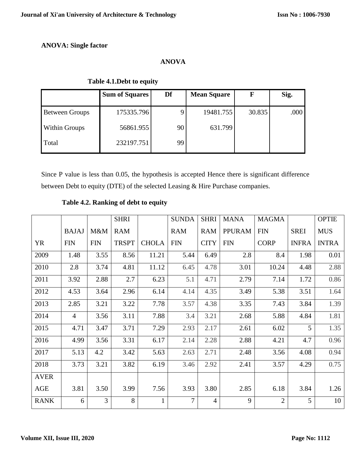# **ANOVA: Single factor**

# **ANOVA**

# **Sum of Squares Df Mean Square F Sig.** Between Groups 175335.796 9 19481.755 30.835 .000 Within Groups 1 56861.955 90 631.799 Total 232197.751 99

Since P value is less than 0.05, the hypothesis is accepted Hence there is significant difference

between Debt to equity (DTE) of the selected Leasing & Hire Purchase companies.

|             |                |                | <b>SHRI</b>  |              | <b>SUNDA</b> | <b>SHRI</b>    | <b>MANA</b>   | <b>MAGMA</b>   |              | <b>OPTIE</b> |
|-------------|----------------|----------------|--------------|--------------|--------------|----------------|---------------|----------------|--------------|--------------|
|             | <b>BAJAJ</b>   | M&M            | <b>RAM</b>   |              | <b>RAM</b>   | <b>RAM</b>     | <b>PPURAM</b> | <b>FIN</b>     | <b>SREI</b>  | <b>MUS</b>   |
| YR          | <b>FIN</b>     | <b>FIN</b>     | <b>TRSPT</b> | <b>CHOLA</b> | <b>FIN</b>   | <b>CITY</b>    | <b>FIN</b>    | <b>CORP</b>    | <b>INFRA</b> | <b>INTRA</b> |
| 2009        | 1.48           | 3.55           | 8.56         | 11.21        | 5.44         | 6.49           | 2.8           | 8.4            | 1.98         | 0.01         |
| 2010        | 2.8            | 3.74           | 4.81         | 11.12        | 6.45         | 4.78           | 3.01          | 10.24          | 4.48         | 2.88         |
| 2011        | 3.92           | 2.88           | 2.7          | 6.23         | 5.1          | 4.71           | 2.79          | 7.14           | 1.72         | 0.86         |
| 2012        | 4.53           | 3.64           | 2.96         | 6.14         | 4.14         | 4.35           | 3.49          | 5.38           | 3.51         | 1.64         |
| 2013        | 2.85           | 3.21           | 3.22         | 7.78         | 3.57         | 4.38           | 3.35          | 7.43           | 3.84         | 1.39         |
| 2014        | $\overline{4}$ | 3.56           | 3.11         | 7.88         | 3.4          | 3.21           | 2.68          | 5.88           | 4.84         | 1.81         |
| 2015        | 4.71           | 3.47           | 3.71         | 7.29         | 2.93         | 2.17           | 2.61          | 6.02           | 5            | 1.35         |
| 2016        | 4.99           | 3.56           | 3.31         | 6.17         | 2.14         | 2.28           | 2.88          | 4.21           | 4.7          | 0.96         |
| 2017        | 5.13           | 4.2            | 3.42         | 5.63         | 2.63         | 2.71           | 2.48          | 3.56           | 4.08         | 0.94         |
| 2018        | 3.73           | 3.21           | 3.82         | 6.19         | 3.46         | 2.92           | 2.41          | 3.57           | 4.29         | 0.75         |
| <b>AVER</b> |                |                |              |              |              |                |               |                |              |              |
| AGE         | 3.81           | 3.50           | 3.99         | 7.56         | 3.93         | 3.80           | 2.85          | 6.18           | 3.84         | 1.26         |
| <b>RANK</b> | 6              | $\overline{3}$ | 8            | 1            | $\tau$       | $\overline{4}$ | 9             | $\overline{2}$ | 5            | 10           |

# **Table 4.2. Ranking of debt to equity**

 **Table 4.1.Debt to equity**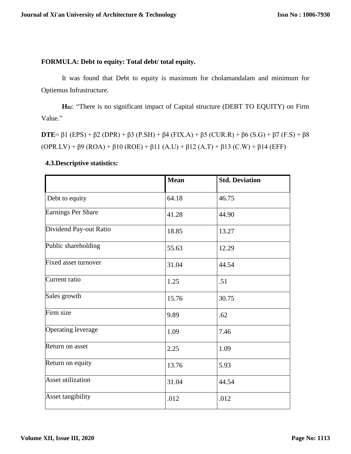# **FORMULA: Debt to equity: Total debt/ total equity.**

It was found that Debt to equity is maximum for cholamandalam and minimum for Optiemus Infrastructure.

**H02**: "There is no significant impact of Capital structure (DEBT TO EQUITY) on Firm Value."

**DTE**= β1 (EPS) + β2 (DPR) + β3 (P.SH) + β4 (FIX.A) + β5 (CUR.R) + β6 (S.G) + β7 (F.S) + β8  $(OPR.LV) + \beta 9 (ROA) + \beta 10 (ROE) + \beta 11 (A.U) + \beta 12 (A.T) + \beta 13 (C.W) + \beta 14 (EFF)$ 

|                        | <b>Mean</b> | <b>Std. Deviation</b> |
|------------------------|-------------|-----------------------|
| Debt to equity         | 64.18       | 46.75                 |
| Earnings Per Share     | 41.28       | 44.90                 |
| Dividend Pay-out Ratio | 18.85       | 13.27                 |
| Public shareholding    | 55.63       | 12.29                 |
| Fixed asset turnover   | 31.04       | 44.54                 |
| Current ratio          | 1.25        | .51                   |
| Sales growth           | 15.76       | 30.75                 |
| Firm size              | 9.89        | .62                   |
| Operating leverage     | 1.09        | 7.46                  |
| Return on asset        | 2.25        | 1.09                  |
| Return on equity       | 13.76       | 5.93                  |
| Asset utilization      | 31.04       | 44.54                 |
| Asset tangibility      | .012        | .012                  |

# **4.3.Descriptive statistics:**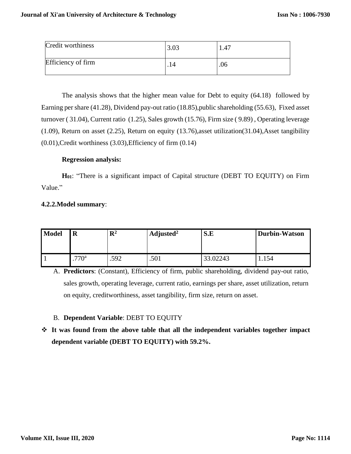| Credit worthiness  | 3.03 | 1.47 |
|--------------------|------|------|
| Efficiency of firm |      | .06  |

The analysis shows that the higher mean value for Debt to equity (64.18) followed by Earning per share (41.28), Dividend pay-out ratio (18.85),public shareholding (55.63), Fixed asset turnover ( 31.04), Current ratio (1.25), Sales growth (15.76), Firm size ( 9.89) , Operating leverage (1.09), Return on asset (2.25), Return on equity (13.76),asset utilization(31.04),Asset tangibility (0.01),Credit worthiness (3.03),Efficiency of firm (0.14)

### **Regression analysis:**

**H01**: "There is a significant impact of Capital structure (DEBT TO EQUITY) on Firm Value."

# **4.2.2.Model summary**:

| <b>Model</b> | $\bf R$       | $\mathbf{R}^2$ | Adjusted <sup>2</sup> | S.E      | <b>Durbin-Watson</b> |
|--------------|---------------|----------------|-----------------------|----------|----------------------|
|              | $770^{\circ}$ | .592           | .501                  | 33.02243 | 1.154                |

A. **Predictors**: (Constant), Efficiency of firm, public shareholding, dividend pay-out ratio, sales growth, operating leverage, current ratio, earnings per share, asset utilization, return on equity, creditworthiness, asset tangibility, firm size, return on asset.

# B. **Dependent Variable**: DEBT TO EQUITY

 **It was found from the above table that all the independent variables together impact dependent variable (DEBT TO EQUITY) with 59.2%.**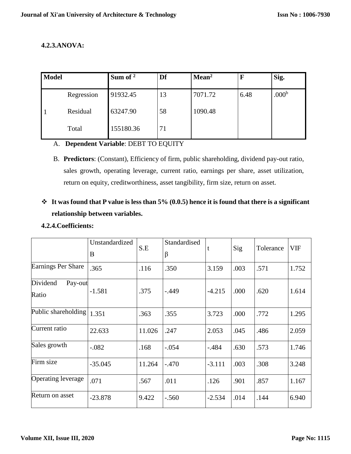# **4.2.3.ANOVA:**

| <b>Model</b> |            | Sum of $2$ | Df | Mean <sup>2</sup> | $\mathbf F$ | Sig.              |
|--------------|------------|------------|----|-------------------|-------------|-------------------|
|              | Regression | 91932.45   | 13 | 7071.72           | 6.48        | .000 <sup>b</sup> |
|              | Residual   | 63247.90   | 58 | 1090.48           |             |                   |
|              | Total      | 155180.36  | 71 |                   |             |                   |

# A. **Dependent Variable**: DEBT TO EQUITY

B. **Predictors**: (Constant), Efficiency of firm, public shareholding, dividend pay-out ratio, sales growth, operating leverage, current ratio, earnings per share, asset utilization, return on equity, creditworthiness, asset tangibility, firm size, return on asset.

# **It was found that P value is less than 5% (0.0.5) hence it is found that there is a significant relationship between variables.**

### **4.2.4.Coefficients:**

|                              | Unstandardized<br>B | S.E    | Standardised<br>β |          | Sig  | Tolerance | <b>VIF</b> |
|------------------------------|---------------------|--------|-------------------|----------|------|-----------|------------|
| Earnings Per Share           | .365                | .116   | .350              | 3.159    | .003 | .571      | 1.752      |
| Dividend<br>Pay-out<br>Ratio | $-1.581$            | .375   | $-.449$           | $-4.215$ | .000 | .620      | 1.614      |
| Public shareholding          | 1.351               | .363   | .355              | 3.723    | .000 | .772      | 1.295      |
| Current ratio                | 22.633              | 11.026 | .247              | 2.053    | .045 | .486      | 2.059      |
| Sales growth                 | $-.082$             | .168   | $-.054$           | $-.484$  | .630 | .573      | 1.746      |
| Firm size                    | $-35.045$           | 11.264 | $-.470$           | $-3.111$ | .003 | .308      | 3.248      |
| Operating leverage           | .071                | .567   | .011              | .126     | .901 | .857      | 1.167      |
| Return on asset              | $-23.878$           | 9.422  | $-.560$           | $-2.534$ | .014 | .144      | 6.940      |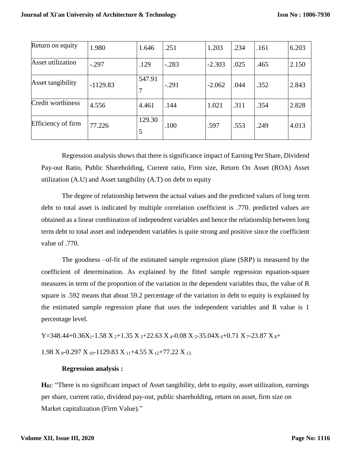| Return on equity   | 1.980      | 1.646       | .251    | 1.203    | .234 | .161 | 6.203 |
|--------------------|------------|-------------|---------|----------|------|------|-------|
| Asset utilization  | $-.297$    | .129        | $-.283$ | $-2.303$ | .025 | .465 | 2.150 |
| Asset tangibility  | $-1129.83$ | 547.91<br>7 | $-.291$ | $-2.062$ | .044 | .352 | 2.843 |
| Credit worthiness  | 4.556      | 4.461       | .144    | 1.021    | .311 | .354 | 2.828 |
| Efficiency of firm | 77.226     | 129.30<br>5 | .100    | .597     | .553 | .249 | 4.013 |

Regression analysis shows that there is significance impact of Earning Per Share, Dividend Pay-out Ratio, Public Shareholding, Current ratio, Firm size, Return On Asset (ROA) Asset utilization (A.U) and Asset tangibility (A.T) on debt to equity

The degree of relationship between the actual values and the predicted values of long term debt to total asset is indicated by multiple correlation coefficient is .770. predicted values are obtained as a linear combination of independent variables and hence the relationship between long term debt to total asset and independent variables is quite strong and positive since the coefficient value of .770.

The goodness –of-fit of the estimated sample regression plane (SRP) is measured by the coefficient of determination. As explained by the fitted sample regression equation-square measures in term of the proportion of the variation in the dependent variables thus, the value of R square is .592 means that about 59.2 percentage of the variation in debt to equity is explained by the estimated sample regression plane that uses the independent variables and R value is 1 percentage level.

Y=348.44+0.36X<sub>1</sub>-1.58 X<sub>2</sub>+1.35 X<sub>3</sub>+22.63 X<sub>4</sub>-0.08 X<sub>5</sub>-35.04X<sub>6</sub>+0.71 X<sub>7</sub>-23.87 X<sub>8</sub>+

1.98  $X_9$ -0.297  $X_{10}$ -1129.83  $X_{11}$ +4.55  $X_{12}$ +77.22  $X_{13}$ .

### **Regression analysis :**

**H02**: "There is no significant impact of Asset tangibility, debt to equity, asset utilization, earnings per share, current ratio, dividend pay-out, public shareholding, return on asset, firm size on Market capitalization (Firm Value)."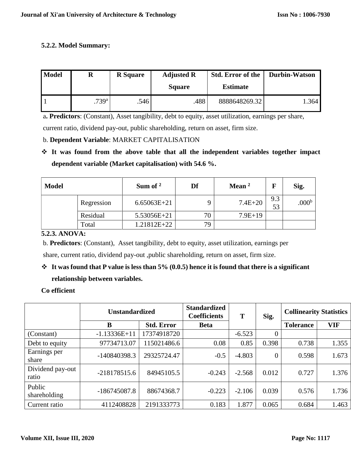# **5.2.2. Model Summary:**

| <b>Model</b> | $\mathbf R$       | <b>R</b> Square | <b>Adjusted R</b><br><b>Square</b> | <b>Std. Error of the</b><br><b>Estimate</b> | Durbin-Watson |
|--------------|-------------------|-----------------|------------------------------------|---------------------------------------------|---------------|
|              | .739 <sup>a</sup> | .546            | .488                               | 8888648269.32                               | .364          |

a**. Predictors**: (Constant), Asset tangibility, debt to equity, asset utilization, earnings per share,

current ratio, dividend pay-out, public shareholding, return on asset, firm size.

# b. **Dependent Variable**: MARKET CAPITALISATION

 **It was found from the above table that all the independent variables together impact dependent variable (Market capitalisation) with 54.6 %.** 

| <b>Model</b> |            | Sum of $2$    | Df | Mean $2$    |           | Sig.              |
|--------------|------------|---------------|----|-------------|-----------|-------------------|
|              | Regression | $6.65063E+21$ |    | $7.4E + 20$ | 9.3<br>53 | .000 <sup>b</sup> |
|              | Residual   | 5.53056E+21   | 70 | $7.9E+19$   |           |                   |
|              | Total      | 1.21812E+22   | 79 |             |           |                   |

# **5.2.3. ANOVA:**

b. **Predictors**: (Constant), Asset tangibility, debt to equity, asset utilization, earnings per

share, current ratio, dividend pay-out ,public shareholding, return on asset, firm size.

# **It was found that P value is less than 5% (0.0.5) hence it is found that there is a significant relationship between variables.**

# **Co efficient**

|                           | <b>Unstandardized</b> |                   | <b>Standardized</b><br><b>Coefficients</b> | T        | Sig.           | <b>Collinearity Statistics</b> |            |
|---------------------------|-----------------------|-------------------|--------------------------------------------|----------|----------------|--------------------------------|------------|
|                           | B                     | <b>Std. Error</b> | <b>Beta</b>                                |          |                | <b>Tolerance</b>               | <b>VIF</b> |
| (Constant)                | $-1.13336E+11$        | 17374918720       |                                            | $-6.523$ | $\overline{0}$ |                                |            |
| Debt to equity            | 97734713.07           | 115021486.6       | 0.08                                       | 0.85     | 0.398          | 0.738                          | 1.355      |
| Earnings per<br>share     | -140840398.3          | 29325724.47       | $-0.5$                                     | $-4.803$ | $\overline{0}$ | 0.598                          | 1.673      |
| Dividend pay-out<br>ratio | $-218178515.6$        | 84945105.5        | $-0.243$                                   | $-2.568$ | 0.012          | 0.727                          | 1.376      |
| Public<br>shareholding    | $-186745087.8$        | 88674368.7        | $-0.223$                                   | $-2.106$ | 0.039          | 0.576                          | 1.736      |
| Current ratio             | 4112408828            | 2191333773        | 0.183                                      | 1.877    | 0.065          | 0.684                          | 1.463      |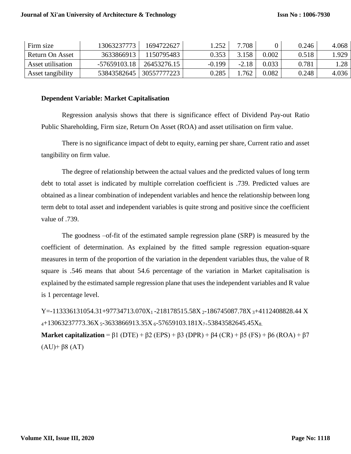| Firm size         | 13063237773  | 1694722627  | .252     | 7708    |       | 0.246 | 4.068 |
|-------------------|--------------|-------------|----------|---------|-------|-------|-------|
| Return On Asset   | 3633866913   | 150795483   | 0.353    | 3.158   | 0.002 | 0.518 | .929  |
| Asset utilisation | -57659103.18 | 26453276.15 | $-0.199$ | $-2.18$ | 0.033 | 0.781 | 1.28  |
| Asset tangibility | 53843582645  | 30557777223 | 0.285    | .762    | 0.082 | 0.248 | 4.036 |

#### **Dependent Variable: Market Capitalisation**

Regression analysis shows that there is significance effect of Dividend Pay-out Ratio Public Shareholding, Firm size, Return On Asset (ROA) and asset utilisation on firm value.

There is no significance impact of debt to equity, earning per share, Current ratio and asset tangibility on firm value.

The degree of relationship between the actual values and the predicted values of long term debt to total asset is indicated by multiple correlation coefficient is .739. Predicted values are obtained as a linear combination of independent variables and hence the relationship between long term debt to total asset and independent variables is quite strong and positive since the coefficient value of .739.

The goodness –of-fit of the estimated sample regression plane (SRP) is measured by the coefficient of determination. As explained by the fitted sample regression equation-square measures in term of the proportion of the variation in the dependent variables thus, the value of R square is .546 means that about 54.6 percentage of the variation in Market capitalisation is explained by the estimated sample regression plane that uses the independent variables and R value is 1 percentage level.

Y=-113336131054.31+97734713.070X<sub>1</sub>-218178515.58X<sub>2</sub>-186745087.78X<sub>3</sub>+4112408828.44 X  $4+13063237773.36X$  5-3633866913.35X 6-57659103.181X<sub>7+</sub>53843582645.45X<sub>8</sub>. **Market capitalization** = β1 (DTE) + β2 (EPS) + β3 (DPR) + β4 (CR) + β5 (FS) + β6 (ROA) + β7 (AU)+ β8 (AT)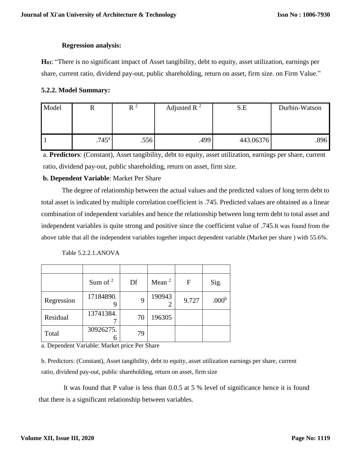### **Regression analysis:**

**H03**: "There is no significant impact of Asset tangibility, debt to equity, asset utilization, earnings per share, current ratio, dividend pay-out, public shareholding, return on asset, firm size. on Firm Value."

### **5.2.2. Model Summary:**

| Model |                | $R^2$ | Adjusted R $^2$ | S.E       | Durbin-Watson |  |
|-------|----------------|-------|-----------------|-----------|---------------|--|
|       |                |       |                 |           |               |  |
|       | $.745^{\rm a}$ | .556  | .499            | 443.06376 | .896          |  |

a. **Predictors**: (Constant), Asset tangibility, debt to equity, asset utilization, earnings per share, current ratio, dividend pay-out, public shareholding, return on asset, firm size.

# **b. Dependent Variable**: Market Per Share

The degree of relationship between the actual values and the predicted values of long term debt to total asset is indicated by multiple correlation coefficient is .745. Predicted values are obtained as a linear combination of independent variables and hence the relationship between long term debt to total asset and independent variables is quite strong and positive since the coefficient value of .745.It was found from the above table that all the independent variables together impact dependent variable (Market per share ) with 55.6%.

Table 5.2.2.1.ANOVA

|            | Sum of $2$     | Df | Mean $2$ | F     | Sig.              |
|------------|----------------|----|----------|-------|-------------------|
| Regression | 17184890.      | 9  | 190943   | 9.727 | .000 <sup>b</sup> |
| Residual   | 13741384.      | 70 | 196305   |       |                   |
| Total      | 30926275.<br>h | 79 |          |       |                   |

a. Dependent Variable: Market price Per Share

b. Predictors: (Constant), Asset tangibility, debt to equity, asset utilization earnings per share, current ratio, dividend pay-out, public shareholding, return on asset, firm size

It was found that P value is less than 0.0.5 at 5 % level of significance hence it is found that there is a significant relationship between variables.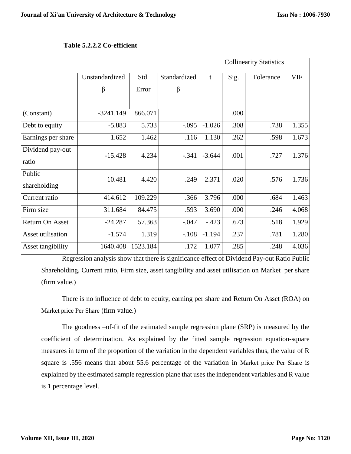|                           |                |          |              |          | <b>Collinearity Statistics</b> |           |            |  |
|---------------------------|----------------|----------|--------------|----------|--------------------------------|-----------|------------|--|
|                           | Unstandardized | Std.     | Standardized | t        | Sig.                           | Tolerance | <b>VIF</b> |  |
|                           | β              | Error    | β            |          |                                |           |            |  |
|                           |                |          |              |          |                                |           |            |  |
| (Constant)                | $-3241.149$    | 866.071  |              |          | .000                           |           |            |  |
| Debt to equity            | $-5.883$       | 5.733    | $-.095$      | $-1.026$ | .308                           | .738      | 1.355      |  |
| Earnings per share        | 1.652          | 1.462    | .116         | 1.130    | .262                           | .598      | 1.673      |  |
| Dividend pay-out<br>ratio | $-15.428$      | 4.234    | $-.341$      | $-3.644$ | .001                           | .727      | 1.376      |  |
| Public<br>shareholding    | 10.481         | 4.420    | .249         | 2.371    | .020                           | .576      | 1.736      |  |
| Current ratio             | 414.612        | 109.229  | .366         | 3.796    | .000                           | .684      | 1.463      |  |
| Firm size                 | 311.684        | 84.475   | .593         | 3.690    | .000                           | .246      | 4.068      |  |
| Return On Asset           | $-24.287$      | 57.363   | $-.047$      | $-.423$  | .673                           | .518      | 1.929      |  |
| Asset utilisation         | $-1.574$       | 1.319    | $-.108$      | $-1.194$ | .237                           | .781      | 1.280      |  |
| Asset tangibility         | 1640.408       | 1523.184 | .172         | 1.077    | .285                           | .248      | 4.036      |  |

**Table 5.2.2.2 Co-efficient**

Regression analysis show that there is significance effect of Dividend Pay-out Ratio Public Shareholding, Current ratio, Firm size, asset tangibility and asset utilisation on Market per share (firm value.)

There is no influence of debt to equity, earning per share and Return On Asset (ROA) on Market price Per Share (firm value.)

The goodness –of-fit of the estimated sample regression plane (SRP) is measured by the coefficient of determination. As explained by the fitted sample regression equation-square measures in term of the proportion of the variation in the dependent variables thus, the value of R square is .556 means that about 55.6 percentage of the variation in Market price Per Share is explained by the estimated sample regression plane that uses the independent variables and R value is 1 percentage level.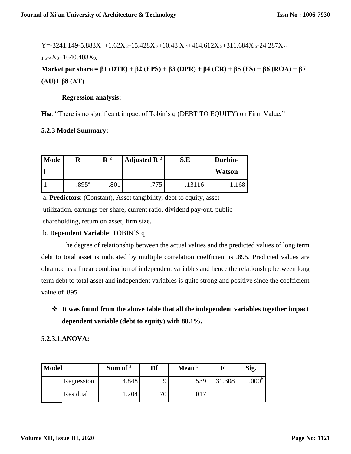Y=-3241.149-5.883X<sub>1</sub> +1.62X<sub>2</sub>-15.428X<sub>3</sub>+10.48 X<sub>4</sub>+414.612X<sub>5</sub>+311.684X<sub>6</sub>-24.287X<sub>7</sub>.

 $1.574X_8+1640.408X_9$ 

**Market per share = β1 (DTE) + β2 (EPS) + β3 (DPR) + β4 (CR) + β5 (FS) + β6 (ROA) + β7 (AU)+ β8 (AT)**

### **Regression analysis:**

**H04**: "There is no significant impact of Tobin's q (DEBT TO EQUITY) on Firm Value."

# **5.2.3 Model Summary:**

| <b>Mode</b> | R              | $\mathbf{R}^{2}$ | Adjusted $\mathbb{R}^2$ | S.E    | Durbin-<br><b>Watson</b> |
|-------------|----------------|------------------|-------------------------|--------|--------------------------|
|             | $.895^{\circ}$ | .801             | ワワミ<br>.                | .13116 | 1.168                    |

a. **Predictors**: (Constant), Asset tangibility, debt to equity, asset utilization, earnings per share, current ratio, dividend pay-out, public shareholding, return on asset, firm size.

# b. **Dependent Variable**: TOBIN'S q

The degree of relationship between the actual values and the predicted values of long term debt to total asset is indicated by multiple correlation coefficient is .895. Predicted values are obtained as a linear combination of independent variables and hence the relationship between long term debt to total asset and independent variables is quite strong and positive since the coefficient value of .895.

 **It was found from the above table that all the independent variables together impact dependent variable (debt to equity) with 80.1%.**

### **5.2.3.1.ANOVA:**

| <b>Model</b> | Sum of $2$ | Df | Mean $2$ |        | Sig.             |
|--------------|------------|----|----------|--------|------------------|
| Regression   | 4.848      |    | .539     | 31.308 | 000 <sup>b</sup> |
| Residual     | 1.204      | 70 | .017     |        |                  |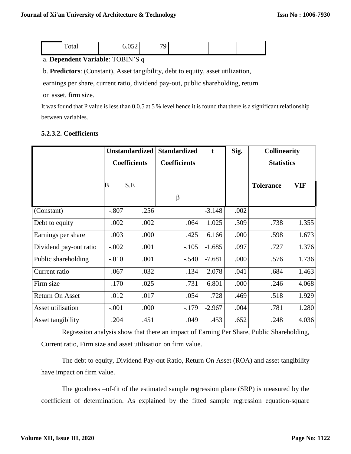|--|

# a. **Dependent Variable**: TOBIN'S q

b. **Predictors**: (Constant), Asset tangibility, debt to equity, asset utilization,

earnings per share, current ratio, dividend pay-out, public shareholding, return

on asset, firm size.

It was found that P value is less than 0.0.5 at 5 % level hence it is found that there is a significant relationship between variables.

|                        | <b>Unstandardized</b> |      | <b>Standardized</b> | t        | Sig. | <b>Collinearity</b> |            |
|------------------------|-----------------------|------|---------------------|----------|------|---------------------|------------|
|                        | <b>Coefficients</b>   |      | <b>Coefficients</b> |          |      | <b>Statistics</b>   |            |
|                        | B                     | S.E  |                     |          |      | <b>Tolerance</b>    | <b>VIF</b> |
|                        |                       |      | $\beta$             |          |      |                     |            |
| (Constant)             | $-.807$               | .256 |                     | $-3.148$ | .002 |                     |            |
| Debt to equity         | .002                  | .002 | .064                | 1.025    | .309 | .738                | 1.355      |
| Earnings per share     | .003                  | .000 | .425                | 6.166    | .000 | .598                | 1.673      |
| Dividend pay-out ratio | $-.002$               | .001 | $-.105$             | $-1.685$ | .097 | .727                | 1.376      |
| Public shareholding    | $-0.010$              | .001 | $-.540$             | $-7.681$ | .000 | .576                | 1.736      |
| Current ratio          | .067                  | .032 | .134                | 2.078    | .041 | .684                | 1.463      |
| Firm size              | .170                  | .025 | .731                | 6.801    | .000 | .246                | 4.068      |
| <b>Return On Asset</b> | .012                  | .017 | .054                | .728     | .469 | .518                | 1.929      |
| Asset utilisation      | $-.001$               | .000 | $-179$              | $-2.967$ | .004 | .781                | 1.280      |
| Asset tangibility      | .204                  | .451 | .049                | .453     | .652 | .248                | 4.036      |

# **5.2.3.2. Coefficients**

Regression analysis show that there an impact of Earning Per Share, Public Shareholding, Current ratio, Firm size and asset utilisation on firm value.

The debt to equity, Dividend Pay-out Ratio, Return On Asset (ROA) and asset tangibility have impact on firm value.

The goodness –of-fit of the estimated sample regression plane (SRP) is measured by the coefficient of determination. As explained by the fitted sample regression equation-square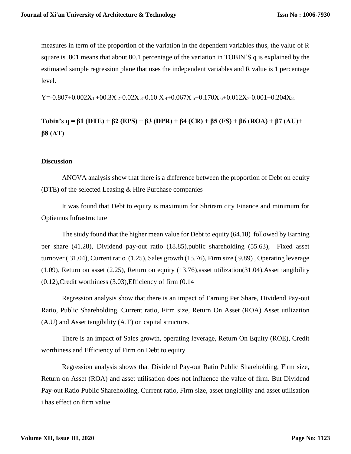measures in term of the proportion of the variation in the dependent variables thus, the value of R square is .801 means that about 80.1 percentage of the variation in TOBIN'S q is explained by the estimated sample regression plane that uses the independent variables and R value is 1 percentage level.

Y=-0.807+0.002X<sub>1</sub> +00.3X <sub>2</sub>-0.02X <sub>3</sub>-0.10 X <sub>4</sub>+0.067X <sub>5</sub>+0.170X <sub>6</sub>+0.012X<sub>7</sub>-0.001+0.204X<sub>8</sub>.

**Tobin's q = β1 (DTE) + β2 (EPS) + β3 (DPR) + β4 (CR) + β5 (FS) + β6 (ROA) + β7 (AU)+ β8 (AT)**

### **Discussion**

ANOVA analysis show that there is a difference between the proportion of Debt on equity (DTE) of the selected Leasing & Hire Purchase companies

It was found that Debt to equity is maximum for Shriram city Finance and minimum for Optiemus Infrastructure

The study found that the higher mean value for Debt to equity (64.18) followed by Earning per share (41.28), Dividend pay-out ratio (18.85),public shareholding (55.63), Fixed asset turnover ( 31.04), Current ratio (1.25), Sales growth (15.76), Firm size ( 9.89) , Operating leverage (1.09), Return on asset (2.25), Return on equity (13.76),asset utilization(31.04),Asset tangibility (0.12),Credit worthiness (3.03),Efficiency of firm (0.14

Regression analysis show that there is an impact of Earning Per Share, Dividend Pay-out Ratio, Public Shareholding, Current ratio, Firm size, Return On Asset (ROA) Asset utilization (A.U) and Asset tangibility (A.T) on capital structure.

There is an impact of Sales growth, operating leverage, Return On Equity (ROE), Credit worthiness and Efficiency of Firm on Debt to equity

Regression analysis shows that Dividend Pay-out Ratio Public Shareholding, Firm size, Return on Asset (ROA) and asset utilisation does not influence the value of firm. But Dividend Pay-out Ratio Public Shareholding, Current ratio, Firm size, asset tangibility and asset utilisation i has effect on firm value.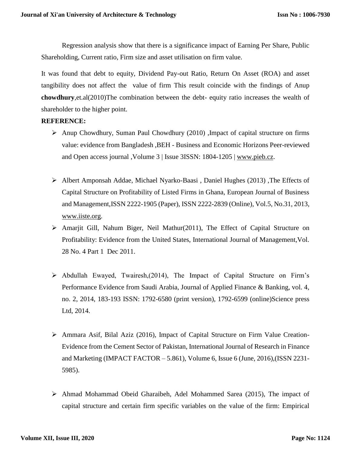Regression analysis show that there is a significance impact of Earning Per Share, Public Shareholding, Current ratio, Firm size and asset utilisation on firm value.

It was found that debt to equity, Dividend Pay-out Ratio, Return On Asset (ROA) and asset tangibility does not affect the value of firm This result coincide with the findings of Anup **chowdhury**,et.al(2010)The combination between the debt- equity ratio increases the wealth of shareholder to the higher point.

### **REFERENCE:**

- Anup Chowdhury, Suman Paul Chowdhury (2010) ,Impact of capital structure on firms value: evidence from Bangladesh ,BEH - Business and Economic Horizons Peer-reviewed and Open access journal , Volume 3 | Issue 3ISSN: 1804-1205 | [www.pieb.cz.](http://www.pieb.cz/)
- Albert Amponsah Addae, Michael Nyarko-Baasi, Daniel Hughes (2013), The Effects of Capital Structure on Profitability of Listed Firms in Ghana, European Journal of Business and Management,ISSN 2222-1905 (Paper), ISSN 2222-2839 (Online), Vol.5, No.31, 2013, [www.iiste.org.](http://www.iiste.org/)
- Amarjit Gill, Nahum Biger, Neil Mathur(2011), The Effect of Capital Structure on Profitability: Evidence from the United States, International Journal of Management,Vol. 28 No. 4 Part 1 Dec 2011.
- $\triangleright$  Abdullah Ewayed, Twairesh,(2014), The Impact of Capital Structure on Firm's Performance Evidence from Saudi Arabia, Journal of Applied Finance & Banking, vol. 4, no. 2, 2014, 183-193 ISSN: 1792-6580 (print version), 1792-6599 (online)Science press Ltd, 2014.
- Ammara Asif, Bilal Aziz (2016), Impact of Capital Structure on Firm Value Creation-Evidence from the Cement Sector of Pakistan, International Journal of Research in Finance and Marketing (IMPACT FACTOR – 5.861), Volume 6, Issue 6 (June, 2016),(ISSN 2231- 5985).
- Ahmad Mohammad Obeid Gharaibeh, Adel Mohammed Sarea (2015), The impact of capital structure and certain firm specific variables on the value of the firm: Empirical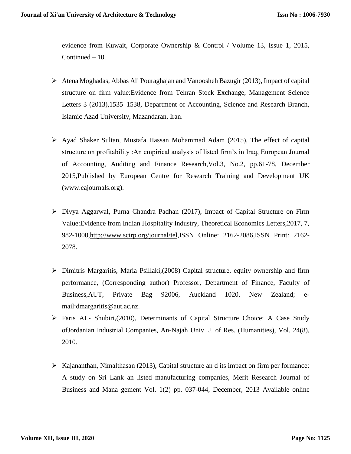evidence from Kuwait, Corporate Ownership & Control / Volume 13, Issue 1, 2015, Continued – 10.

- Atena Moghadas, Abbas Ali Pouraghajan and Vanoosheh Bazugir (2013), Impact of capital structure on firm value:Evidence from Tehran Stock Exchange, Management Science Letters 3 (2013),1535–1538, Department of Accounting, Science and Research Branch, Islamic Azad University, Mazandaran, Iran.
- Ayad Shaker Sultan, Mustafa Hassan Mohammad Adam (2015), The effect of capital structure on profitability :An empirical analysis of listed firm's in Iraq, European Journal of Accounting, Auditing and Finance Research,Vol.3, No.2, pp.61-78, December 2015,Published by European Centre for Research Training and Development UK [\(www.eajournals.org\)](http://www.eajournals.org/).
- $\triangleright$  Divya Aggarwal, Purna Chandra Padhan (2017), Impact of Capital Structure on Firm Value:Evidence from Indian Hospitality Industry, Theoretical Economics Letters,2017, 7, 982-1000[,http://www.scirp.org/journal/tel,](http://www.scirp.org/journal/tel)ISSN Online: 2162-2086,ISSN Print: 2162- 2078.
- $\triangleright$  Dimitris Margaritis, Maria Psillaki, (2008) Capital structure, equity ownership and firm performance, (Corresponding author) Professor, Department of Finance, Faculty of Business,AUT, Private Bag 92006, Auckland 1020, New Zealand; email:dmargaritis@aut.ac.nz.
- Faris AL- Shubiri,(2010), Determinants of Capital Structure Choice: A Case Study ofJordanian Industrial Companies, An-Najah Univ. J. of Res. (Humanities), Vol. 24(8), 2010.
- $\triangleright$  Kajananthan, Nimalthasan (2013), Capital structure an d its impact on firm per formance: A study on Sri Lank an listed manufacturing companies, Merit Research Journal of Business and Mana gement Vol. 1(2) pp. 037-044, December, 2013 Available online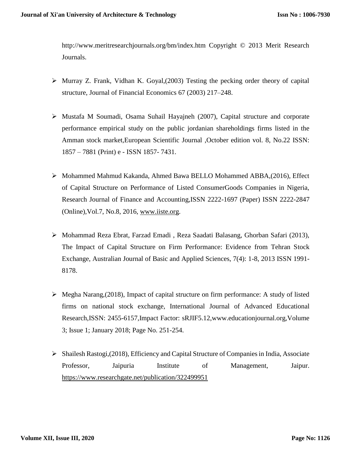http://www.meritresearchjournals.org/bm/index.htm Copyright © 2013 Merit Research Journals.

- $\triangleright$  Murray Z. Frank, Vidhan K. Goyal, (2003) Testing the pecking order theory of capital structure, Journal of Financial Economics 67 (2003) 217–248.
- Mustafa M Soumadi, Osama Suhail Hayajneh (2007), Capital structure and corporate performance empirical study on the public jordanian shareholdings firms listed in the Amman stock market,European Scientific Journal ,October edition vol. 8, No.22 ISSN: 1857 – 7881 (Print) e - ISSN 1857- 7431.
- $\triangleright$  Mohammed Mahmud Kakanda, Ahmed Bawa BELLO Mohammed ABBA,(2016), Effect of Capital Structure on Performance of Listed ConsumerGoods Companies in Nigeria, Research Journal of Finance and Accounting,ISSN 2222-1697 (Paper) ISSN 2222-2847 (Online),Vol.7, No.8, 2016, [www.iiste.org.](http://www.iiste.org/)
- Mohammad Reza Ebrat, Farzad Emadi , Reza Saadati Balasang, Ghorban Safari (2013), The Impact of Capital Structure on Firm Performance: Evidence from Tehran Stock Exchange, Australian Journal of Basic and Applied Sciences, 7(4): 1-8, 2013 ISSN 1991- 8178.
- $\triangleright$  Megha Narang, (2018), Impact of capital structure on firm performance: A study of listed firms on national stock exchange, International Journal of Advanced Educational Research,ISSN: 2455-6157,Impact Factor: sRJIF5.12,www.educationjournal.org,Volume 3; Issue 1; January 2018; Page No. 251-254.
- $\triangleright$  Shailesh Rastogi,(2018), Efficiency and Capital Structure of Companies in India, Associate Professor, Jaipuria Institute of Management, Jaipur. [https://www.researchgate.net/publication/322499951](https://www.researchgate.net/publication/322499951_Efficiency_and_Capital_Structure_of_Companies_in_India?enrichId=rgreq-2ac94111f61776add65042814c6c3f4b-XXX&enrichSource=Y292ZXJQYWdlOzMyMjQ5OTk1MTtBUzo1ODMwMDQxNjkxNDYzNjhAMTUxNjAxMDQzMzg3MQ%3D%3D&el=1_x_2&_esc=publicationCoverPdf)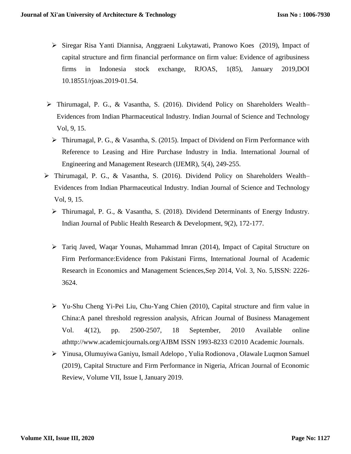- $\triangleright$  Siregar Risa Yanti Diannisa, Anggraeni Lukytawati, Pranowo Koes (2019), Impact of capital structure and firm financial performance on firm value: Evidence of agribusiness firms in Indonesia stock exchange, RJOAS, 1(85), January 2019,DOI 10.18551/rjoas.2019-01.54.
- Thirumagal, P. G., & Vasantha, S. (2016). Dividend Policy on Shareholders Wealth– Evidences from Indian Pharmaceutical Industry. Indian Journal of Science and Technology Vol, 9, 15.
	- Thirumagal, P. G., & Vasantha, S. (2015). Impact of Dividend on Firm Performance with Reference to Leasing and Hire Purchase Industry in India. International Journal of Engineering and Management Research (IJEMR), 5(4), 249-255.
- Thirumagal, P. G., & Vasantha, S. (2016). Dividend Policy on Shareholders Wealth– Evidences from Indian Pharmaceutical Industry. Indian Journal of Science and Technology Vol, 9, 15.
	- Thirumagal, P. G., & Vasantha, S. (2018). Dividend Determinants of Energy Industry. Indian Journal of Public Health Research & Development, 9(2), 172-177.
	- $\triangleright$  Tariq Javed, Waqar Younas, Muhammad Imran (2014), Impact of Capital Structure on Firm Performance:Evidence from Pakistani Firms, International Journal of Academic Research in Economics and Management Sciences,Sep 2014, Vol. 3, No. 5,ISSN: 2226- 3624.
	- Yu-Shu Cheng Yi-Pei Liu, Chu-Yang Chien (2010), Capital structure and firm value in China:A panel threshold regression analysis, African Journal of Business Management Vol. 4(12), pp. 2500-2507, 18 September, 2010 Available online athttp://www.academicjournals.org/AJBM ISSN 1993-8233 ©2010 Academic Journals.
	- Yinusa, Olumuyiwa Ganiyu, Ismail Adelopo , Yulia Rodionova , Olawale Luqmon Samuel (2019), Capital Structure and Firm Performance in Nigeria, African Journal of Economic Review, Volume VII, Issue I, January 2019.